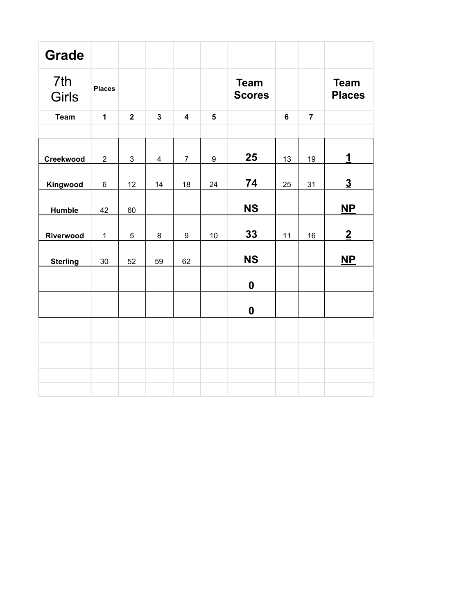| <b>Grade</b>        |                |                |                |                         |                  |                              |                |                |                              |
|---------------------|----------------|----------------|----------------|-------------------------|------------------|------------------------------|----------------|----------------|------------------------------|
| 7th<br><b>Girls</b> | <b>Places</b>  |                |                |                         |                  | <b>Team</b><br><b>Scores</b> |                |                | <b>Team</b><br><b>Places</b> |
| <b>Team</b>         | $\mathbf{1}$   | $\overline{2}$ | $\overline{3}$ | $\overline{\mathbf{4}}$ | $5\phantom{1}$   |                              | $6\phantom{a}$ | $\overline{7}$ |                              |
|                     |                |                |                |                         |                  |                              |                |                |                              |
| Creekwood           | $\overline{2}$ | 3              | $\overline{4}$ | $\overline{7}$          | $\boldsymbol{9}$ | 25                           | 13             | 19             | 1                            |
| Kingwood            | $\,6\,$        | 12             | 14             | 18                      | 24               | 74                           | 25             | 31             | $\overline{3}$               |
| Humble              | 42             | 60             |                |                         |                  | <b>NS</b>                    |                |                | $\overline{\mathbf{NP}}$     |
| Riverwood           | $\mathbf 1$    | 5              | 8              | 9                       | 10               | 33                           | 11             | 16             | $\overline{2}$               |
| <b>Sterling</b>     | 30             | 52             | 59             | 62                      |                  | <b>NS</b>                    |                |                | $NP$                         |
|                     |                |                |                |                         |                  | $\boldsymbol{0}$             |                |                |                              |
|                     |                |                |                |                         |                  | $\boldsymbol{0}$             |                |                |                              |
|                     |                |                |                |                         |                  |                              |                |                |                              |
|                     |                |                |                |                         |                  |                              |                |                |                              |
|                     |                |                |                |                         |                  |                              |                |                |                              |
|                     |                |                |                |                         |                  |                              |                |                |                              |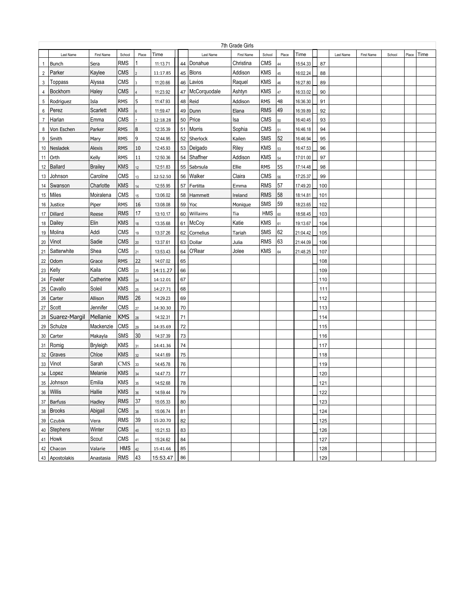|                |                | 7th Grade Girls<br>Time<br>Time<br>First Name<br>School<br>Place<br>Last Name<br>First Name<br>School<br>Place<br>Last Name<br>Place<br>First Name<br>School |            |        |          |    |              |           |            |    |          |     |  |  |      |
|----------------|----------------|--------------------------------------------------------------------------------------------------------------------------------------------------------------|------------|--------|----------|----|--------------|-----------|------------|----|----------|-----|--|--|------|
|                | Last Name      |                                                                                                                                                              |            |        |          |    |              |           |            |    |          |     |  |  | Time |
| $\mathbf{1}$   | <b>Bunch</b>   | Sera                                                                                                                                                         | RMS        |        | 11:13.71 | 44 | Donahue      | Christina | <b>CMS</b> | 44 | 15:54.33 | 87  |  |  |      |
| $\overline{2}$ | Parker         | Kaylee                                                                                                                                                       | <b>CMS</b> |        | 11:17.85 | 45 | <b>Blons</b> | Addison   | <b>KMS</b> | 45 | 16:02.24 | 88  |  |  |      |
| 3              | Toppass        | Alyssa                                                                                                                                                       | <b>CMS</b> |        | 11:20.66 | 46 | Lavios       | Raquel    | <b>KMS</b> | 46 | 16:27.80 | 89  |  |  |      |
| 4              | Bockhorn       | Haley                                                                                                                                                        | <b>CMS</b> |        | 11:23.92 | 47 | McCorquodale | Ashtyn    | <b>KMS</b> | 47 | 16:33.02 | 90  |  |  |      |
| 5              | Rodriguez      | Isla                                                                                                                                                         | <b>RMS</b> | 5      | 11:47.93 | 48 | Reid         | Addison   | <b>RMS</b> | 48 | 16:36.30 | 91  |  |  |      |
| 6              | Perez          | Scarlett                                                                                                                                                     | <b>KMS</b> | 6      | 11:59.47 | 49 | Dunn         | Elana     | <b>RMS</b> | 49 | 16:39.89 | 92  |  |  |      |
| $\overline{7}$ | Harlan         | Emma                                                                                                                                                         | <b>CMS</b> |        | 12:18.28 | 50 | Price        | lsa       | <b>CMS</b> | 50 | 16:40.45 | 93  |  |  |      |
| 8              | Von Eschen     | Parker                                                                                                                                                       | <b>RMS</b> | 8      | 12:35.39 | 51 | Morris       | Sophia    | <b>CMS</b> | 51 | 16:46.18 | 94  |  |  |      |
| 9              | Smith          | Mary                                                                                                                                                         | <b>RMS</b> | 9      | 12:44.95 | 52 | Sherlock     | Kailen    | SMS        | 52 | 16:46.94 | 95  |  |  |      |
| 10             | Nesladek       | <b>Alexis</b>                                                                                                                                                | <b>RMS</b> | 10     | 12:45.93 | 53 | Delgado      | Riley     | <b>KMS</b> | 53 | 16:47.53 | 96  |  |  |      |
| 11             | Orth           | Kelly                                                                                                                                                        | <b>RMS</b> | $11\,$ | 12:50.36 | 54 | Shaffner     | Addison   | <b>KMS</b> | 54 | 17:01.00 | 97  |  |  |      |
| 12             | <b>Ballard</b> | <b>Brailey</b>                                                                                                                                               | <b>KMS</b> | 12     | 12:51.83 | 55 | Sabrsula     | Ellie     | <b>RMS</b> | 55 | 17:14.48 | 98  |  |  |      |
| 13             | Johnson        | Caroline                                                                                                                                                     | <b>CMS</b> | 13     | 12:52.50 | 56 | Walker       | Claira    | <b>CMS</b> | 56 | 17:25.37 | 99  |  |  |      |
| 14             | Swanson        | Charlotte                                                                                                                                                    | <b>KMS</b> | 14     | 12:55.95 | 57 | Fertitta     | Emma      | <b>RMS</b> | 57 | 17:49.20 | 100 |  |  |      |
| 15             | Miles          | Moiralena                                                                                                                                                    | <b>CMS</b> | 15     | 13:06.02 | 58 | Hammett      | Ireland   | <b>RMS</b> | 58 | 18:14.81 | 101 |  |  |      |
| 16             | Justice        | Piper                                                                                                                                                        | <b>RMS</b> | 16     | 13:08.08 | 59 | Yoc          | Monique   | SMS        | 59 | 18:23.65 | 102 |  |  |      |
| 17             | Dillard        | Reese                                                                                                                                                        | <b>RMS</b> | 17     | 13:10.17 | 60 | Willaims     | Tia       | <b>HMS</b> | 60 | 18:58.45 | 103 |  |  |      |
| 18             | Dailey         | Elin                                                                                                                                                         | <b>KMS</b> | 18     | 13:35.68 | 61 | McCoy        | Katie     | <b>KMS</b> | 61 | 19:13.67 | 104 |  |  |      |
| 19             | Molina         | Addi                                                                                                                                                         | <b>CMS</b> | 19     | 13:37.26 | 62 | Cornelius    | Tariah    | <b>SMS</b> | 62 | 21:04.42 | 105 |  |  |      |
| 20             | Vinot          | Sadie                                                                                                                                                        | <b>CMS</b> | 20     | 13:37.61 | 63 | Dollar       | Julia     | <b>RMS</b> | 63 | 21:44.09 | 106 |  |  |      |
| 21             | Satterwhite    | Shea                                                                                                                                                         | CMS        | 21     | 13:53.43 | 64 | O'Rear       | Jolee     | <b>KMS</b> | 64 | 21:48.25 | 107 |  |  |      |
| 22             | Odom           | Grace                                                                                                                                                        | <b>RMS</b> | 22     | 14:07.02 | 65 |              |           |            |    |          | 108 |  |  |      |
| 23             | Kelly          | Kaila                                                                                                                                                        | <b>CMS</b> | $23\,$ | 14:11.27 | 66 |              |           |            |    |          | 109 |  |  |      |
| 24             | Fowler         | Catherine                                                                                                                                                    | <b>KMS</b> | 24     | 14:12.01 | 67 |              |           |            |    |          | 110 |  |  |      |
| 25             | Cavallo        | Soleil                                                                                                                                                       | <b>KMS</b> | 25     | 14:27.71 | 68 |              |           |            |    |          | 111 |  |  |      |
| 26             | Carter         | Allison                                                                                                                                                      | <b>RMS</b> | 26     | 14:29.23 | 69 |              |           |            |    |          | 112 |  |  |      |
| 27             | Scott          | Jennifer                                                                                                                                                     | <b>CMS</b> | 27     | 14:30.30 | 70 |              |           |            |    |          | 113 |  |  |      |
| 28             | Suarez-Margil  | Mellanie                                                                                                                                                     | <b>KMS</b> | 28     | 14:32.31 | 71 |              |           |            |    |          | 114 |  |  |      |
| 29             | Schulze        | Mackenzie                                                                                                                                                    | <b>CMS</b> | 29     | 14:35.69 | 72 |              |           |            |    |          | 115 |  |  |      |
| 30             | Carter         | Makayla                                                                                                                                                      | <b>SMS</b> | 30     | 14:37.39 | 73 |              |           |            |    |          | 116 |  |  |      |
| 31             | Romig          | Bryleigh                                                                                                                                                     | <b>KMS</b> | 31     | 14:41.36 | 74 |              |           |            |    |          | 117 |  |  |      |
| 32             | Graves         | Chloe                                                                                                                                                        | <b>KMS</b> | 32     | 14:41.69 | 75 |              |           |            |    |          | 118 |  |  |      |
| 33             | Vinot          | Sarah                                                                                                                                                        | CMS        | 33     | 14:45.78 | 76 |              |           |            |    |          | 119 |  |  |      |
| 34             | Lopez          | Melanie                                                                                                                                                      | <b>KMS</b> | 34     | 14:47.73 | 77 |              |           |            |    |          | 120 |  |  |      |
| 35             | Johnson        | Emilia                                                                                                                                                       | <b>KMS</b> | 35     | 14:52.68 | 78 |              |           |            |    |          | 121 |  |  |      |
|                | 36 Willis      | Hallie                                                                                                                                                       | KMS        | 36     | 14:59.44 | 79 |              |           |            |    |          | 122 |  |  |      |
|                | 37 Barfuss     | Hadley                                                                                                                                                       | <b>RMS</b> | 37     | 15:05.33 | 80 |              |           |            |    |          | 123 |  |  |      |
|                | 38 Brooks      | Abigail                                                                                                                                                      | CMS        | 38     | 15:06.74 | 81 |              |           |            |    |          | 124 |  |  |      |
|                | 39 Czubik      | Vera                                                                                                                                                         | <b>RMS</b> | 39     | 15:20.70 | 82 |              |           |            |    |          | 125 |  |  |      |
|                | 40 Stephens    | Winter                                                                                                                                                       | <b>CMS</b> | $40\,$ | 15:21.53 | 83 |              |           |            |    |          | 126 |  |  |      |
|                | 41 Howk        | Scout                                                                                                                                                        | <b>CMS</b> | 41     | 15:24.62 | 84 |              |           |            |    |          | 127 |  |  |      |
|                | 42 Chacon      | Valarie                                                                                                                                                      | HMS        | 42     | 15:41.66 | 85 |              |           |            |    |          | 128 |  |  |      |
|                | 43 Apostolakis | Anastasia                                                                                                                                                    | <b>RMS</b> | 43     | 15:53.47 | 86 |              |           |            |    |          | 129 |  |  |      |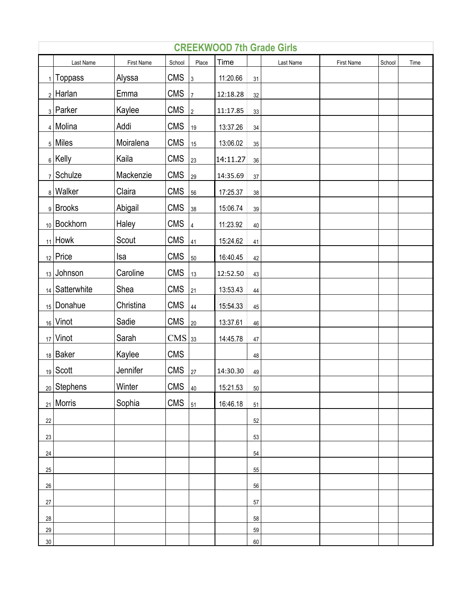|        | <b>CREEKWOOD 7th Grade Girls</b> |            |                   |                |          |    |           |            |        |      |  |  |
|--------|----------------------------------|------------|-------------------|----------------|----------|----|-----------|------------|--------|------|--|--|
|        | Last Name                        | First Name | School            | Place          | Time     |    | Last Name | First Name | School | Time |  |  |
|        | $_1$   Toppass                   | Alyssa     | <b>CMS</b>        | $\mathsf 3$    | 11:20.66 | 31 |           |            |        |      |  |  |
|        | $2$ Harlan                       | Emma       | <b>CMS</b>        | $\overline{7}$ | 12:18.28 | 32 |           |            |        |      |  |  |
|        | 3 Parker                         | Kaylee     | <b>CMS</b>        | $\sqrt{2}$     | 11:17.85 | 33 |           |            |        |      |  |  |
|        | 4 Molina                         | Addi       | <b>CMS</b>        | 19             | 13:37.26 | 34 |           |            |        |      |  |  |
|        | $_5$ Miles                       | Moiralena  | <b>CMS</b>        | 15             | 13:06.02 | 35 |           |            |        |      |  |  |
|        | $_6$ Kelly                       | Kaila      | <b>CMS</b>        | 23             | 14:11.27 | 36 |           |            |        |      |  |  |
|        | $7$ Schulze                      | Mackenzie  | <b>CMS</b>        | 29             | 14:35.69 | 37 |           |            |        |      |  |  |
|        | 8 Walker                         | Claira     | <b>CMS</b>        | 56             | 17:25.37 | 38 |           |            |        |      |  |  |
|        | 9 Brooks                         | Abigail    | <b>CMS</b>        | 38             | 15:06.74 | 39 |           |            |        |      |  |  |
|        | 10 Bockhorn                      | Haley      | <b>CMS</b>        | $\overline{4}$ | 11:23.92 | 40 |           |            |        |      |  |  |
|        | $_{11}$ Howk                     | Scout      | <b>CMS</b>        | 41             | 15:24.62 | 41 |           |            |        |      |  |  |
|        | $_{12}$ Price                    | Isa        | <b>CMS</b>        | 50             | 16:40.45 | 42 |           |            |        |      |  |  |
|        | $13$ Johnson                     | Caroline   | <b>CMS</b>        | 13             | 12:52.50 | 43 |           |            |        |      |  |  |
|        | 14   Satterwhite                 | Shea       | <b>CMS</b>        | 21             | 13:53.43 | 44 |           |            |        |      |  |  |
|        | 15 Donahue                       | Christina  | <b>CMS</b>        | 44             | 15:54.33 | 45 |           |            |        |      |  |  |
|        | 16 Vinot                         | Sadie      | <b>CMS</b>        | 20             | 13:37.61 | 46 |           |            |        |      |  |  |
|        | $17$ Vinot                       | Sarah      | CMS <sub>33</sub> |                | 14:45.78 | 47 |           |            |        |      |  |  |
|        | $18$ Baker                       | Kaylee     | <b>CMS</b>        |                |          | 48 |           |            |        |      |  |  |
|        | $19$ Scott                       | Jennifer   | <b>CMS</b>        | 27             | 14:30.30 | 49 |           |            |        |      |  |  |
|        | $_{20}$ Stephens                 | Winter     | CMS $ _{40}$      |                | 15:21.53 | 50 |           |            |        |      |  |  |
|        | <sub>21</sub>   Morris           | Sophia     | <b>CMS</b>        | 51             | 16:46.18 | 51 |           |            |        |      |  |  |
| 22     |                                  |            |                   |                |          | 52 |           |            |        |      |  |  |
| 23     |                                  |            |                   |                |          | 53 |           |            |        |      |  |  |
| 24     |                                  |            |                   |                |          | 54 |           |            |        |      |  |  |
| 25     |                                  |            |                   |                |          | 55 |           |            |        |      |  |  |
| $26\,$ |                                  |            |                   |                |          | 56 |           |            |        |      |  |  |
| $27\,$ |                                  |            |                   |                |          | 57 |           |            |        |      |  |  |
| 28     |                                  |            |                   |                |          | 58 |           |            |        |      |  |  |
| 29     |                                  |            |                   |                |          | 59 |           |            |        |      |  |  |
| $30\,$ |                                  |            |                   |                |          | 60 |           |            |        |      |  |  |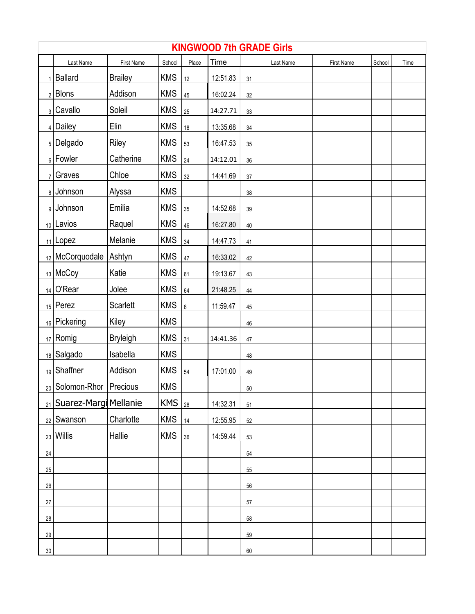|                | <b>KINGWOOD 7th GRADE Girls</b> |                   |            |         |          |        |           |                   |        |      |  |  |
|----------------|---------------------------------|-------------------|------------|---------|----------|--------|-----------|-------------------|--------|------|--|--|
|                | Last Name                       | <b>First Name</b> | School     | Place   | Time     |        | Last Name | <b>First Name</b> | School | Time |  |  |
|                | Ballard                         | <b>Brailey</b>    | <b>KMS</b> | 12      | 12:51.83 | 31     |           |                   |        |      |  |  |
|                | $2$ Blons                       | Addison           | <b>KMS</b> | 45      | 16:02.24 | 32     |           |                   |        |      |  |  |
|                | 3 Cavallo                       | Soleil            | <b>KMS</b> | 25      | 14:27.71 | $33\,$ |           |                   |        |      |  |  |
|                | $4$ Dailey                      | Elin              | <b>KMS</b> | 18      | 13:35.68 | 34     |           |                   |        |      |  |  |
|                | $_5$ Delgado                    | Riley             | <b>KMS</b> | 53      | 16:47.53 | 35     |           |                   |        |      |  |  |
|                | $_6$ Fowler                     | Catherine         | <b>KMS</b> | 24      | 14:12.01 | 36     |           |                   |        |      |  |  |
| 7 <sup>1</sup> | Graves                          | Chloe             | <b>KMS</b> | $32\,$  | 14:41.69 | 37     |           |                   |        |      |  |  |
|                | 8 Johnson                       | Alyssa            | <b>KMS</b> |         |          | 38     |           |                   |        |      |  |  |
|                | 9 Johnson                       | Emilia            | <b>KMS</b> | 35      | 14:52.68 | 39     |           |                   |        |      |  |  |
|                | 10 Lavios                       | Raquel            | <b>KMS</b> | 46      | 16:27.80 | 40     |           |                   |        |      |  |  |
|                | $_{11}$ Lopez                   | Melanie           | <b>KMS</b> | 34      | 14:47.73 | 41     |           |                   |        |      |  |  |
|                | 12 McCorquodale                 | Ashtyn            | <b>KMS</b> | 47      | 16:33.02 | 42     |           |                   |        |      |  |  |
|                | 13 McCoy                        | Katie             | <b>KMS</b> | 61      | 19:13.67 | 43     |           |                   |        |      |  |  |
|                | $_{14}$ O'Rear                  | Jolee             | <b>KMS</b> | 64      | 21:48.25 | 44     |           |                   |        |      |  |  |
|                | $15$ Perez                      | <b>Scarlett</b>   | <b>KMS</b> | $\,6\,$ | 11:59.47 | 45     |           |                   |        |      |  |  |
|                | 16 Pickering                    | Kiley             | <b>KMS</b> |         |          | 46     |           |                   |        |      |  |  |
|                | $_{17}$ Romig                   | <b>Bryleigh</b>   | <b>KMS</b> | 31      | 14:41.36 | 47     |           |                   |        |      |  |  |
|                | 18 Salgado                      | Isabella          | <b>KMS</b> |         |          | 48     |           |                   |        |      |  |  |
|                | 19 Shaffner                     | Addison           | <b>KMS</b> | 54      | 17:01.00 | 49     |           |                   |        |      |  |  |
|                | <sub>20</sub> Solomon-Rhor      | Precious          | <b>KMS</b> |         |          | 50     |           |                   |        |      |  |  |
|                | 21 Suarez-Margi Mellanie        |                   | <b>KMS</b> | 28      | 14:32.31 | 51     |           |                   |        |      |  |  |
|                | $_{22}$ Swanson                 | Charlotte         | <b>KMS</b> | 14      | 12:55.95 | 52     |           |                   |        |      |  |  |
|                | $_{23}$ Willis                  | Hallie            | <b>KMS</b> | 36      | 14:59.44 | 53     |           |                   |        |      |  |  |
| 24             |                                 |                   |            |         |          | 54     |           |                   |        |      |  |  |
| $25\,$         |                                 |                   |            |         |          | 55     |           |                   |        |      |  |  |
| $26\,$         |                                 |                   |            |         |          | 56     |           |                   |        |      |  |  |
| $27\,$         |                                 |                   |            |         |          | 57     |           |                   |        |      |  |  |
| $28\,$         |                                 |                   |            |         |          | 58     |           |                   |        |      |  |  |
| 29             |                                 |                   |            |         |          | 59     |           |                   |        |      |  |  |
| $30\,$         |                                 |                   |            |         |          | 60     |           |                   |        |      |  |  |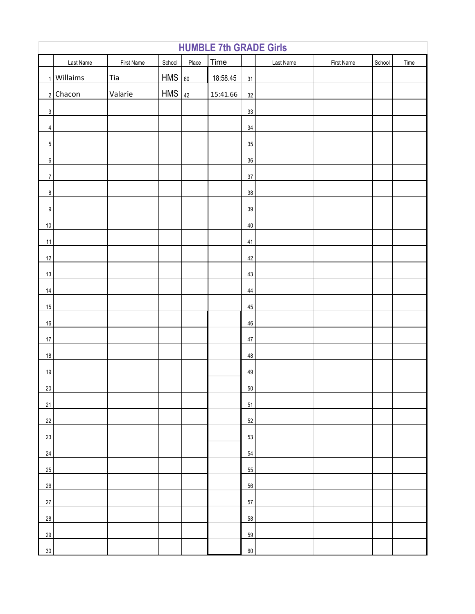|                         | <b>HUMBLE 7th GRADE Girls</b> |            |            |       |          |        |           |            |        |      |  |
|-------------------------|-------------------------------|------------|------------|-------|----------|--------|-----------|------------|--------|------|--|
|                         | Last Name                     | First Name | School     | Place | Time     |        | Last Name | First Name | School | Time |  |
|                         | $1$ Willaims                  | Tia        | <b>HMS</b> | 60    | 18:58.45 | 31     |           |            |        |      |  |
|                         | $2$ Chacon                    | Valarie    | <b>HMS</b> | 42    | 15:41.66 | 32     |           |            |        |      |  |
| $\overline{3}$          |                               |            |            |       |          | 33     |           |            |        |      |  |
| $\overline{\mathbf{4}}$ |                               |            |            |       |          | 34     |           |            |        |      |  |
| $\,$ 5 $\,$             |                               |            |            |       |          | 35     |           |            |        |      |  |
| 6                       |                               |            |            |       |          | $36\,$ |           |            |        |      |  |
| $\overline{7}$          |                               |            |            |       |          | 37     |           |            |        |      |  |
| $\bf 8$                 |                               |            |            |       |          | 38     |           |            |        |      |  |
| $\overline{9}$          |                               |            |            |       |          | 39     |           |            |        |      |  |
| $10\,$                  |                               |            |            |       |          | 40     |           |            |        |      |  |
| $11$                    |                               |            |            |       |          | 41     |           |            |        |      |  |
| $12\,$                  |                               |            |            |       |          | 42     |           |            |        |      |  |
| 13                      |                               |            |            |       |          | 43     |           |            |        |      |  |
| 14                      |                               |            |            |       |          | 44     |           |            |        |      |  |
| 15                      |                               |            |            |       |          | 45     |           |            |        |      |  |
| $16\,$                  |                               |            |            |       |          | 46     |           |            |        |      |  |
| $17\,$                  |                               |            |            |       |          | 47     |           |            |        |      |  |
| 18                      |                               |            |            |       |          | 48     |           |            |        |      |  |
| 19                      |                               |            |            |       |          | 49     |           |            |        |      |  |
| 20 <sup>°</sup>         |                               |            |            |       |          | 50     |           |            |        |      |  |
| 21                      |                               |            |            |       |          | 51     |           |            |        |      |  |
| 22                      |                               |            |            |       |          | 52     |           |            |        |      |  |
| 23                      |                               |            |            |       |          | 53     |           |            |        |      |  |
| 24                      |                               |            |            |       |          | 54     |           |            |        |      |  |
| 25                      |                               |            |            |       |          | 55     |           |            |        |      |  |
| 26                      |                               |            |            |       |          | 56     |           |            |        |      |  |
| 27                      |                               |            |            |       |          | 57     |           |            |        |      |  |
| 28                      |                               |            |            |       |          | 58     |           |            |        |      |  |
| 29                      |                               |            |            |       |          | 59     |           |            |        |      |  |
| 30 <sup>°</sup>         |                               |            |            |       |          | 60     |           |            |        |      |  |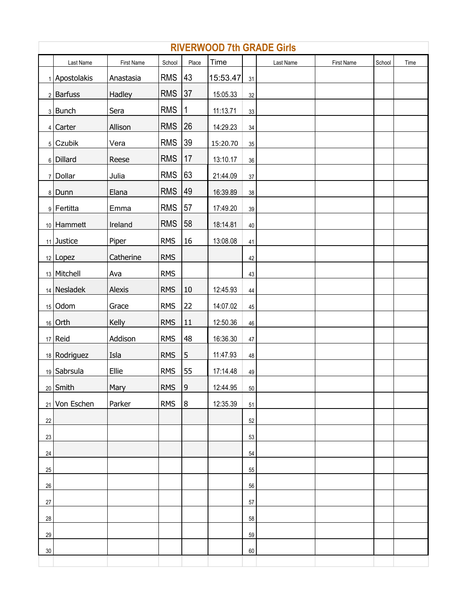|        | <b>RIVERWOOD 7th GRADE Girls</b> |            |            |                  |          |        |           |            |        |      |  |  |
|--------|----------------------------------|------------|------------|------------------|----------|--------|-----------|------------|--------|------|--|--|
|        | Last Name                        | First Name | School     | Place            | Time     |        | Last Name | First Name | School | Time |  |  |
|        | 1 Apostolakis                    | Anastasia  | <b>RMS</b> | 43               | 15:53.47 | 31     |           |            |        |      |  |  |
|        | $2$ Barfuss                      | Hadley     | <b>RMS</b> | 37               | 15:05.33 | 32     |           |            |        |      |  |  |
|        | 3 Bunch                          | Sera       | <b>RMS</b> | 1                | 11:13.71 | $33\,$ |           |            |        |      |  |  |
|        | $4$ Carter                       | Allison    | <b>RMS</b> | 26               | 14:29.23 | 34     |           |            |        |      |  |  |
|        | $5$ Czubik                       | Vera       | <b>RMS</b> | 39               | 15:20.70 | 35     |           |            |        |      |  |  |
|        | 6 Dillard                        | Reese      | <b>RMS</b> | 17               | 13:10.17 | 36     |           |            |        |      |  |  |
|        | 7 Dollar                         | Julia      | <b>RMS</b> | 63               | 21:44.09 | $37\,$ |           |            |        |      |  |  |
|        | 8 Dunn                           | Elana      | <b>RMS</b> | 49               | 16:39.89 | 38     |           |            |        |      |  |  |
|        | 9 Fertitta                       | Emma       | <b>RMS</b> | 57               | 17:49.20 | 39     |           |            |        |      |  |  |
|        | $10$ Hammett                     | Ireland    | <b>RMS</b> | 58               | 18:14.81 | 40     |           |            |        |      |  |  |
|        | 11 Justice                       | Piper      | <b>RMS</b> | 16               | 13:08.08 | 41     |           |            |        |      |  |  |
|        | $12$ Lopez                       | Catherine  | <b>RMS</b> |                  |          | 42     |           |            |        |      |  |  |
|        | 13 Mitchell                      | Ava        | <b>RMS</b> |                  |          | 43     |           |            |        |      |  |  |
|        | 14 Nesladek                      | Alexis     | <b>RMS</b> | 10               | 12:45.93 | 44     |           |            |        |      |  |  |
|        | $15$ Odom                        | Grace      | <b>RMS</b> | 22               | 14:07.02 | 45     |           |            |        |      |  |  |
|        | $16$ Orth                        | Kelly      | <b>RMS</b> | 11               | 12:50.36 | 46     |           |            |        |      |  |  |
|        | $17$ Reid                        | Addison    | <b>RMS</b> | 48               | 16:36.30 | 47     |           |            |        |      |  |  |
|        | 18 Rodriguez                     | Isla       | <b>RMS</b> | $\sqrt{5}$       | 11:47.93 | 48     |           |            |        |      |  |  |
|        | 19 Sabrsula                      | Ellie      | <b>RMS</b> | 55               | 17:14.48 | 49     |           |            |        |      |  |  |
|        | $20$ Smith                       | Mary       | <b>RMS</b> | 9                | 12:44.95 | 50     |           |            |        |      |  |  |
|        | 21 Von Eschen                    | Parker     | <b>RMS</b> | $\boldsymbol{8}$ | 12:35.39 | 51     |           |            |        |      |  |  |
| 22     |                                  |            |            |                  |          | 52     |           |            |        |      |  |  |
| 23     |                                  |            |            |                  |          | 53     |           |            |        |      |  |  |
| 24     |                                  |            |            |                  |          | 54     |           |            |        |      |  |  |
| $25\,$ |                                  |            |            |                  |          | 55     |           |            |        |      |  |  |
| $26\,$ |                                  |            |            |                  |          | 56     |           |            |        |      |  |  |
| 27     |                                  |            |            |                  |          | 57     |           |            |        |      |  |  |
| 28     |                                  |            |            |                  |          | 58     |           |            |        |      |  |  |
| 29     |                                  |            |            |                  |          | 59     |           |            |        |      |  |  |
| $30\,$ |                                  |            |            |                  |          | 60     |           |            |        |      |  |  |
|        |                                  |            |            |                  |          |        |           |            |        |      |  |  |